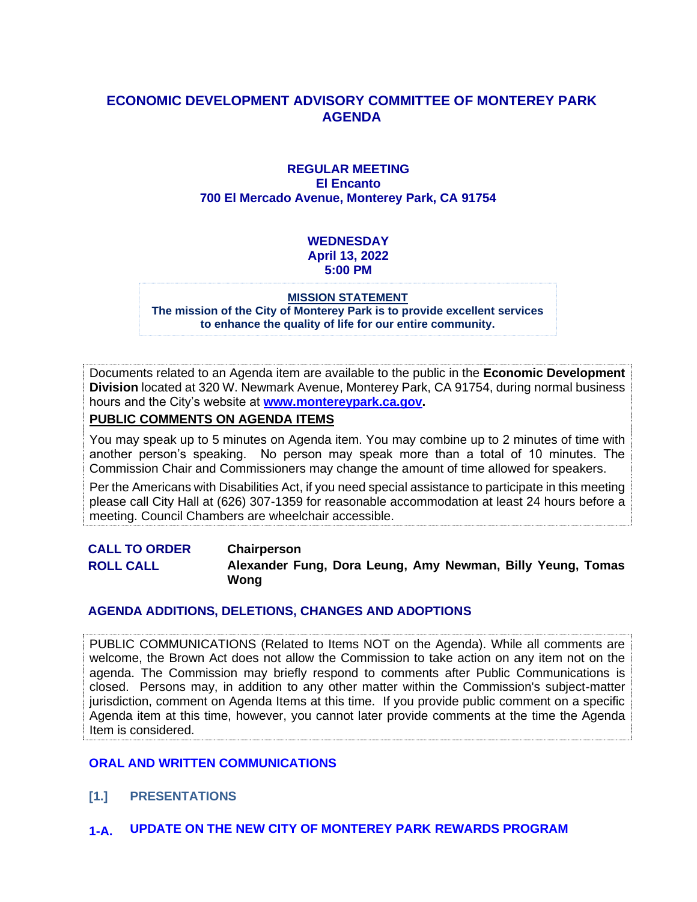#### **ECONOMIC DEVELOPMENT ADVISORY COMMITTEE OF MONTEREY PARK AGENDA**

#### **REGULAR MEETING El Encanto 700 El Mercado Avenue, Monterey Park, CA 91754**

#### **WEDNESDAY April 13, 2022 5:00 PM**

#### **MISSION STATEMENT**

**The mission of the City of Monterey Park is to provide excellent services to enhance the quality of life for our entire community.**

Documents related to an Agenda item are available to the public in the **Economic Development Division** located at 320 W. Newmark Avenue, Monterey Park, CA 91754, during normal business hours and the City's website at **[www.montereypark.ca.gov.](http://www.montereypark.ca.gov/)** 

#### **PUBLIC COMMENTS ON AGENDA ITEMS**

You may speak up to 5 minutes on Agenda item. You may combine up to 2 minutes of time with another person's speaking. No person may speak more than a total of 10 minutes. The Commission Chair and Commissioners may change the amount of time allowed for speakers.

Per the Americans with Disabilities Act, if you need special assistance to participate in this meeting please call City Hall at (626) 307-1359 for reasonable accommodation at least 24 hours before a meeting. Council Chambers are wheelchair accessible.

**CALL TO ORDER Chairperson ROLL CALL Alexander Fung, Dora Leung, Amy Newman, Billy Yeung, Tomas Wong**

#### **AGENDA ADDITIONS, DELETIONS, CHANGES AND ADOPTIONS**

PUBLIC COMMUNICATIONS (Related to Items NOT on the Agenda). While all comments are welcome, the Brown Act does not allow the Commission to take action on any item not on the agenda. The Commission may briefly respond to comments after Public Communications is closed. Persons may, in addition to any other matter within the Commission's subject-matter jurisdiction, comment on Agenda Items at this time. If you provide public comment on a specific Agenda item at this time, however, you cannot later provide comments at the time the Agenda Item is considered.

#### **ORAL AND WRITTEN COMMUNICATIONS**

- **[1.] PRESENTATIONS**
- **1-A. UPDATE ON THE NEW CITY OF MONTEREY PARK REWARDS PROGRAM**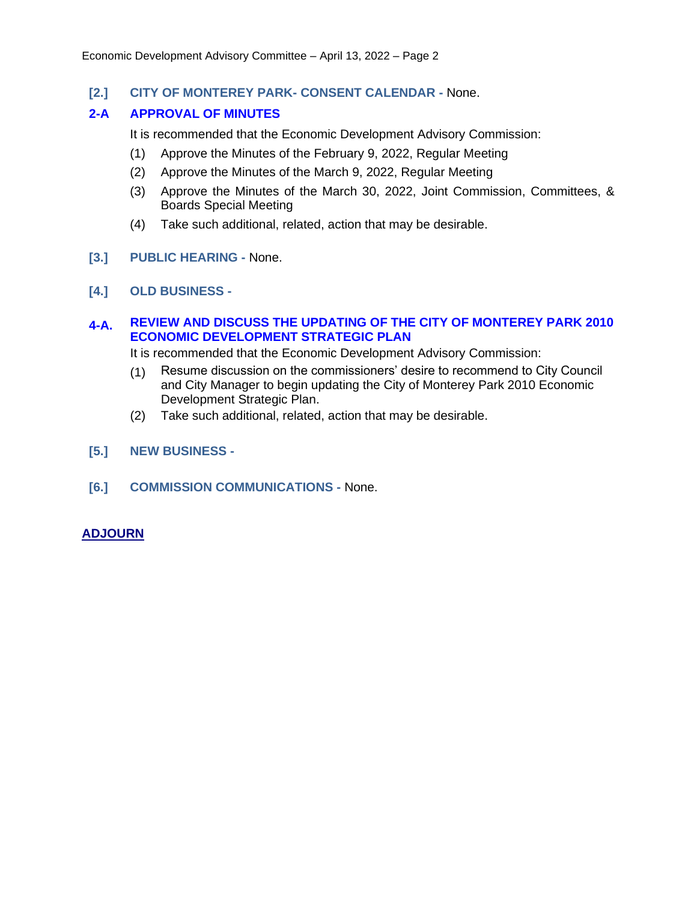**[2.] CITY OF MONTEREY PARK- CONSENT CALENDAR -** None.

#### **2-A APPROVAL OF MINUTES**

It is recommended that the Economic Development Advisory Commission:

- (1) Approve the Minutes of the February 9, 2022, Regular Meeting
- (2) Approve the Minutes of the March 9, 2022, Regular Meeting
- (3) Approve the Minutes of the March 30, 2022, Joint Commission, Committees, & Boards Special Meeting
- (4) Take such additional, related, action that may be desirable.
- **[3.] PUBLIC HEARING -** None.
- **[4.] OLD BUSINESS -**

#### **4-A. REVIEW AND DISCUSS THE UPDATING OF THE CITY OF MONTEREY PARK 2010 ECONOMIC DEVELOPMENT STRATEGIC PLAN**

It is recommended that the Economic Development Advisory Commission:

- (1) Resume discussion on the commissioners' desire to recommend to City Council and City Manager to begin updating the City of Monterey Park 2010 Economic Development Strategic Plan.
- (2) Take such additional, related, action that may be desirable.
- **[5.] NEW BUSINESS -**
- **[6.] COMMISSION COMMUNICATIONS -** None.

#### **ADJOURN**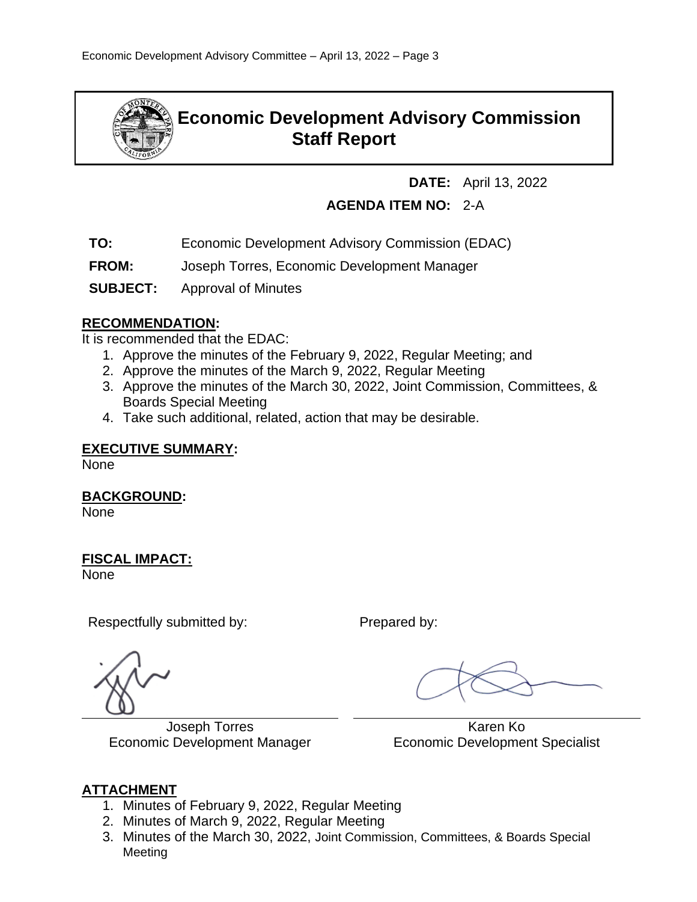

# **Economic Development Advisory Commission Staff Report**

**DATE:** April 13, 2022

## **AGENDA ITEM NO:** 2-A

- **TO:** Economic Development Advisory Commission (EDAC)
- **FROM:** Joseph Torres, Economic Development Manager
- **SUBJECT:** Approval of Minutes

### **RECOMMENDATION:**

It is recommended that the EDAC:

- 1. Approve the minutes of the February 9, 2022, Regular Meeting; and
- 2. Approve the minutes of the March 9, 2022, Regular Meeting
- 3. Approve the minutes of the March 30, 2022, Joint Commission, Committees, & Boards Special Meeting
- 4. Take such additional, related, action that may be desirable.

#### **EXECUTIVE SUMMARY:**

None

**BACKGROUND:**

None

### **FISCAL IMPACT:**

None

Respectfully submitted by: Prepared by:

Joseph Torres Economic Development Manager

 Karen Ko Economic Development Specialist

### **ATTACHMENT**

- 1. Minutes of February 9, 2022, Regular Meeting
- 2. Minutes of March 9, 2022, Regular Meeting
- 3. Minutes of the March 30, 2022, Joint Commission, Committees, & Boards Special Meeting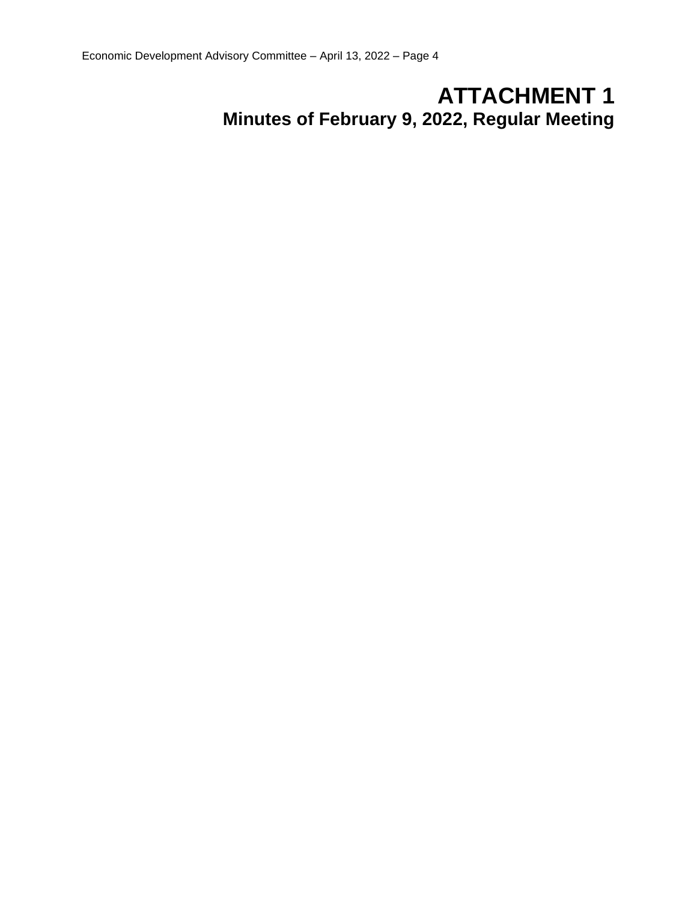# **ATTACHMENT 1 Minutes of February 9, 2022, Regular Meeting**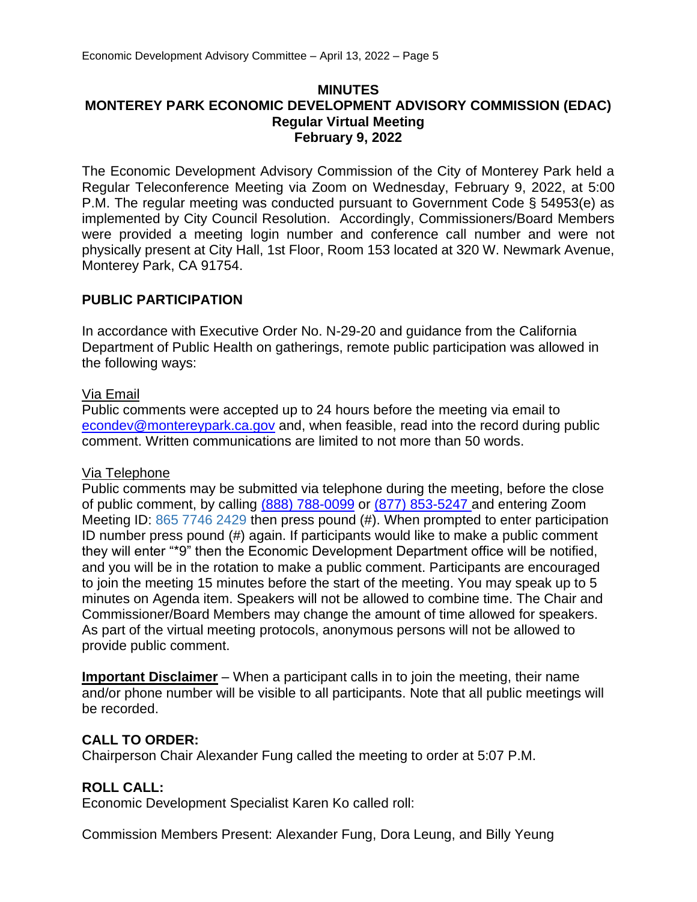#### **MINUTES MONTEREY PARK ECONOMIC DEVELOPMENT ADVISORY COMMISSION (EDAC) Regular Virtual Meeting February 9, 2022**

The Economic Development Advisory Commission of the City of Monterey Park held a Regular Teleconference Meeting via Zoom on Wednesday, February 9, 2022, at 5:00 P.M. The regular meeting was conducted pursuant to Government Code § 54953(e) as implemented by City Council Resolution. Accordingly, Commissioners/Board Members were provided a meeting login number and conference call number and were not physically present at City Hall, 1st Floor, Room 153 located at 320 W. Newmark Avenue, Monterey Park, CA 91754.

#### **PUBLIC PARTICIPATION**

In accordance with Executive Order No. N-29-20 and guidance from the California Department of Public Health on gatherings, remote public participation was allowed in the following ways:

#### Via Email

Public comments were accepted up to 24 hours before the meeting via email to [econdev@montereypark.ca.gov](mailto:econdev@montereypark.ca.gov) and, when feasible, read into the record during public comment. Written communications are limited to not more than 50 words.

#### Via Telephone

Public comments may be submitted via telephone during the meeting, before the close of public comment, by calling (888) 788-0099 or (877) 853-5247 and entering Zoom Meeting ID: 865 7746 2429 then press pound (#). When prompted to enter participation ID number press pound (#) again. If participants would like to make a public comment they will enter "\*9" then the Economic Development Department office will be notified, and you will be in the rotation to make a public comment. Participants are encouraged to join the meeting 15 minutes before the start of the meeting. You may speak up to 5 minutes on Agenda item. Speakers will not be allowed to combine time. The Chair and Commissioner/Board Members may change the amount of time allowed for speakers. As part of the virtual meeting protocols, anonymous persons will not be allowed to provide public comment.

**Important Disclaimer** – When a participant calls in to join the meeting, their name and/or phone number will be visible to all participants. Note that all public meetings will be recorded.

#### **CALL TO ORDER:**

Chairperson Chair Alexander Fung called the meeting to order at 5:07 P.M.

#### **ROLL CALL:**

Economic Development Specialist Karen Ko called roll:

Commission Members Present: Alexander Fung, Dora Leung, and Billy Yeung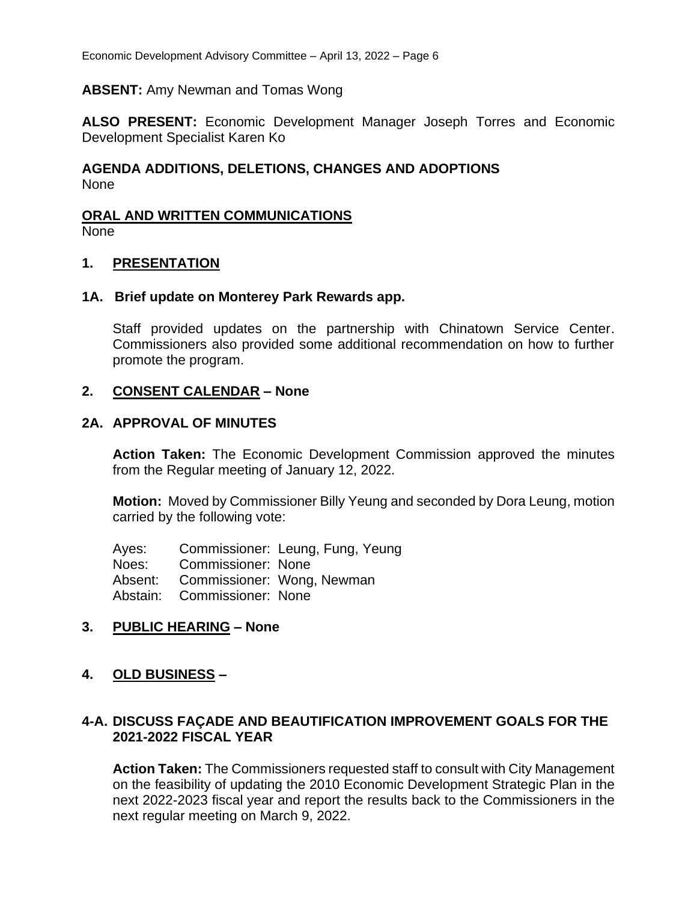#### **ABSENT:** Amy Newman and Tomas Wong

**ALSO PRESENT:** Economic Development Manager Joseph Torres and Economic Development Specialist Karen Ko

#### **AGENDA ADDITIONS, DELETIONS, CHANGES AND ADOPTIONS** None

# **ORAL AND WRITTEN COMMUNICATIONS**

None

#### **1. PRESENTATION**

#### **1A. Brief update on Monterey Park Rewards app.**

Staff provided updates on the partnership with Chinatown Service Center. Commissioners also provided some additional recommendation on how to further promote the program.

#### **2. CONSENT CALENDAR – None**

#### **2A. APPROVAL OF MINUTES**

**Action Taken:** The Economic Development Commission approved the minutes from the Regular meeting of January 12, 2022.

**Motion:** Moved by Commissioner Billy Yeung and seconded by Dora Leung, motion carried by the following vote:

Ayes: Commissioner: Leung, Fung, Yeung Noes: Commissioner: None Absent: Commissioner: Wong, Newman Abstain: Commissioner: None

#### **3. PUBLIC HEARING – None**

#### **4. OLD BUSINESS –**

#### **4-A. DISCUSS FAÇADE AND BEAUTIFICATION IMPROVEMENT GOALS FOR THE 2021-2022 FISCAL YEAR**

**Action Taken:** The Commissioners requested staff to consult with City Management on the feasibility of updating the 2010 Economic Development Strategic Plan in the next 2022-2023 fiscal year and report the results back to the Commissioners in the next regular meeting on March 9, 2022.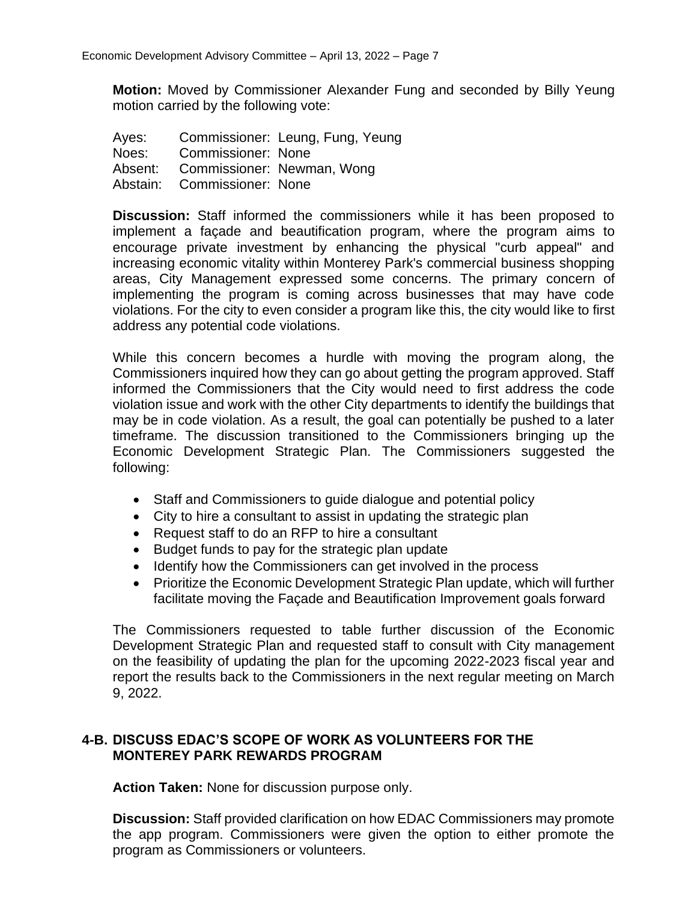**Motion:** Moved by Commissioner Alexander Fung and seconded by Billy Yeung motion carried by the following vote:

| Ayes:   |                             | Commissioner: Leung, Fung, Yeung |
|---------|-----------------------------|----------------------------------|
| Noes:   | Commissioner: None          |                                  |
| Absent: |                             | Commissioner: Newman, Wong       |
|         | Abstain: Commissioner: None |                                  |

**Discussion:** Staff informed the commissioners while it has been proposed to implement a façade and beautification program, where the program aims to encourage private investment by enhancing the physical "curb appeal" and increasing economic vitality within Monterey Park's commercial business shopping areas, City Management expressed some concerns. The primary concern of implementing the program is coming across businesses that may have code violations. For the city to even consider a program like this, the city would like to first address any potential code violations.

While this concern becomes a hurdle with moving the program along, the Commissioners inquired how they can go about getting the program approved. Staff informed the Commissioners that the City would need to first address the code violation issue and work with the other City departments to identify the buildings that may be in code violation. As a result, the goal can potentially be pushed to a later timeframe. The discussion transitioned to the Commissioners bringing up the Economic Development Strategic Plan. The Commissioners suggested the following:

- Staff and Commissioners to guide dialogue and potential policy
- City to hire a consultant to assist in updating the strategic plan
- Request staff to do an RFP to hire a consultant
- Budget funds to pay for the strategic plan update
- Identify how the Commissioners can get involved in the process
- Prioritize the Economic Development Strategic Plan update, which will further facilitate moving the Façade and Beautification Improvement goals forward

The Commissioners requested to table further discussion of the Economic Development Strategic Plan and requested staff to consult with City management on the feasibility of updating the plan for the upcoming 2022-2023 fiscal year and report the results back to the Commissioners in the next regular meeting on March 9, 2022.

#### **4-B. DISCUSS EDAC'S SCOPE OF WORK AS VOLUNTEERS FOR THE MONTEREY PARK REWARDS PROGRAM**

**Action Taken:** None for discussion purpose only.

**Discussion:** Staff provided clarification on how EDAC Commissioners may promote the app program. Commissioners were given the option to either promote the program as Commissioners or volunteers.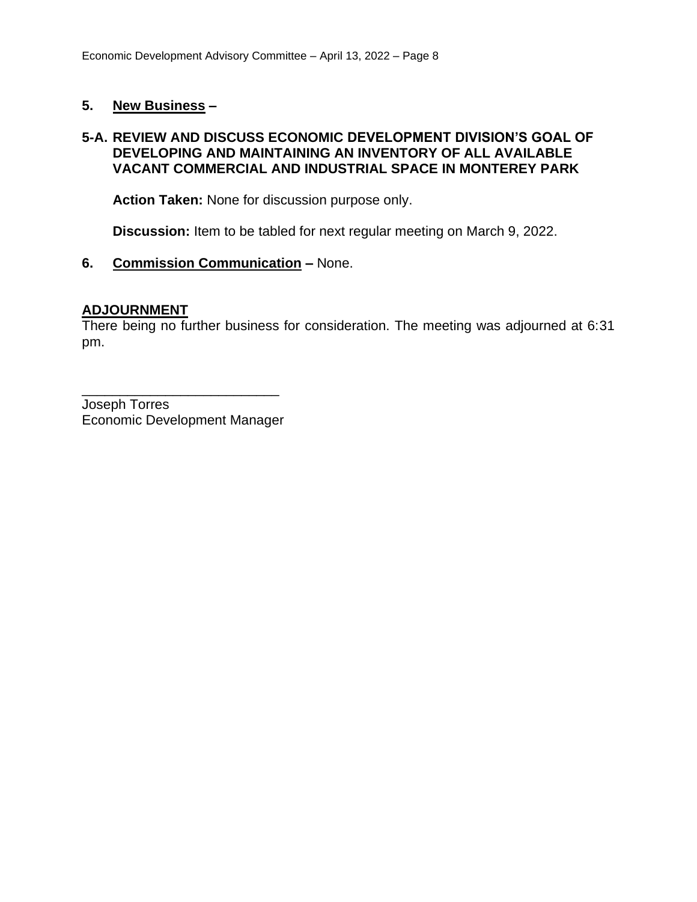#### **5. New Business –**

#### **5-A. REVIEW AND DISCUSS ECONOMIC DEVELOPMENT DIVISION'S GOAL OF DEVELOPING AND MAINTAINING AN INVENTORY OF ALL AVAILABLE VACANT COMMERCIAL AND INDUSTRIAL SPACE IN MONTEREY PARK**

**Action Taken:** None for discussion purpose only.

**Discussion:** Item to be tabled for next regular meeting on March 9, 2022.

#### **6. Commission Communication –** None.

#### **ADJOURNMENT**

There being no further business for consideration. The meeting was adjourned at 6:31 pm.

Joseph Torres Economic Development Manager

\_\_\_\_\_\_\_\_\_\_\_\_\_\_\_\_\_\_\_\_\_\_\_\_\_\_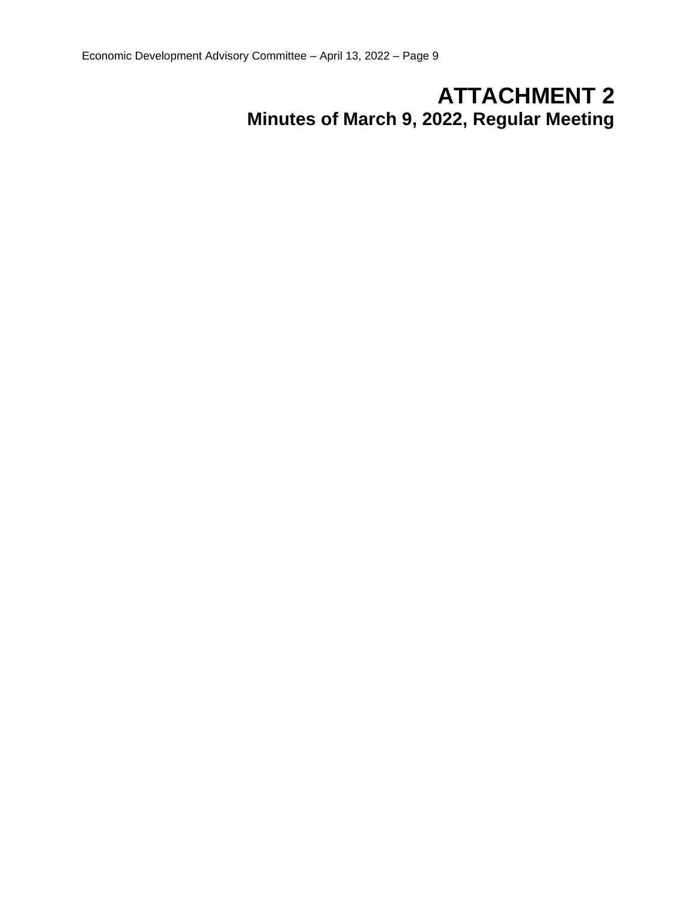# **ATTACHMENT 2 Minutes of March 9, 2022, Regular Meeting**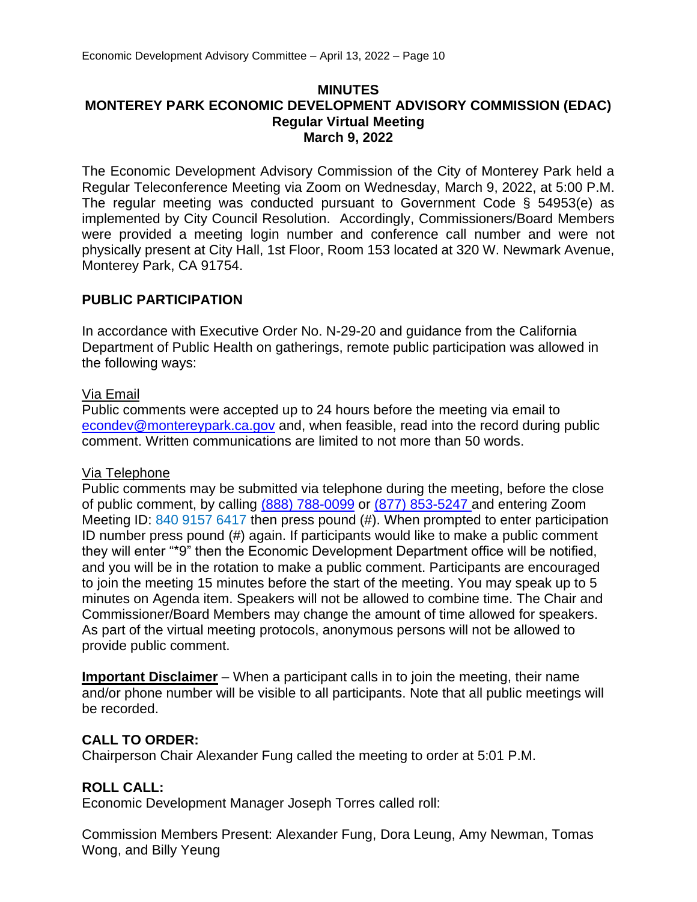#### **MINUTES MONTEREY PARK ECONOMIC DEVELOPMENT ADVISORY COMMISSION (EDAC) Regular Virtual Meeting March 9, 2022**

The Economic Development Advisory Commission of the City of Monterey Park held a Regular Teleconference Meeting via Zoom on Wednesday, March 9, 2022, at 5:00 P.M. The regular meeting was conducted pursuant to Government Code § 54953(e) as implemented by City Council Resolution. Accordingly, Commissioners/Board Members were provided a meeting login number and conference call number and were not physically present at City Hall, 1st Floor, Room 153 located at 320 W. Newmark Avenue, Monterey Park, CA 91754.

#### **PUBLIC PARTICIPATION**

In accordance with Executive Order No. N-29-20 and guidance from the California Department of Public Health on gatherings, remote public participation was allowed in the following ways:

#### Via Email

Public comments were accepted up to 24 hours before the meeting via email to [econdev@montereypark.ca.gov](mailto:econdev@montereypark.ca.gov) and, when feasible, read into the record during public comment. Written communications are limited to not more than 50 words.

#### Via Telephone

Public comments may be submitted via telephone during the meeting, before the close of public comment, by calling (888) 788-0099 or (877) 853-5247 and entering Zoom Meeting ID: 840 9157 6417 then press pound (#). When prompted to enter participation ID number press pound (#) again. If participants would like to make a public comment they will enter "\*9" then the Economic Development Department office will be notified, and you will be in the rotation to make a public comment. Participants are encouraged to join the meeting 15 minutes before the start of the meeting. You may speak up to 5 minutes on Agenda item. Speakers will not be allowed to combine time. The Chair and Commissioner/Board Members may change the amount of time allowed for speakers. As part of the virtual meeting protocols, anonymous persons will not be allowed to provide public comment.

**Important Disclaimer** – When a participant calls in to join the meeting, their name and/or phone number will be visible to all participants. Note that all public meetings will be recorded.

#### **CALL TO ORDER:**

Chairperson Chair Alexander Fung called the meeting to order at 5:01 P.M.

#### **ROLL CALL:**

Economic Development Manager Joseph Torres called roll:

Commission Members Present: Alexander Fung, Dora Leung, Amy Newman, Tomas Wong, and Billy Yeung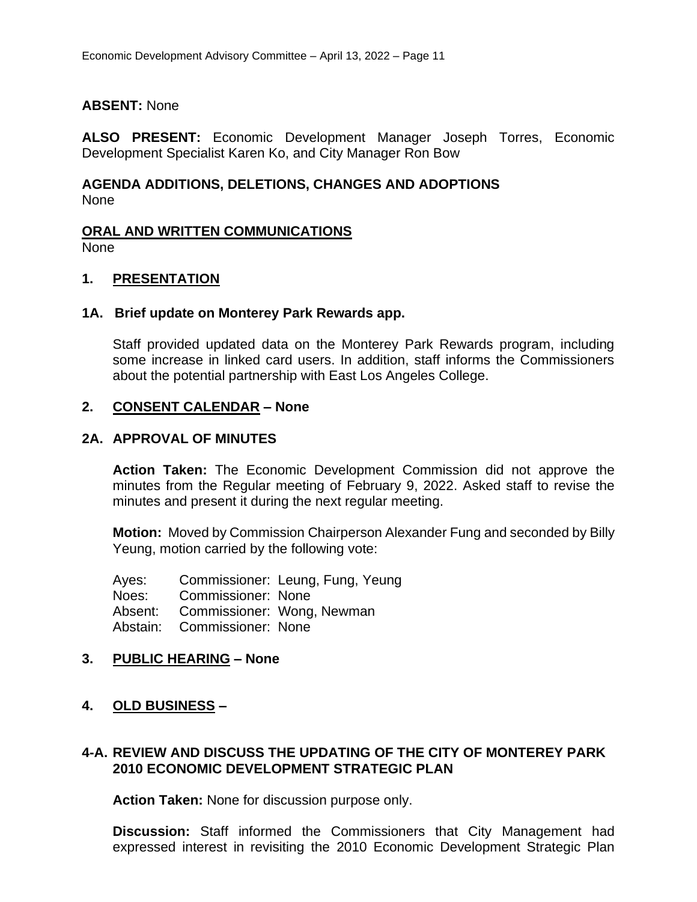#### **ABSENT:** None

**ALSO PRESENT:** Economic Development Manager Joseph Torres, Economic Development Specialist Karen Ko, and City Manager Ron Bow

#### **AGENDA ADDITIONS, DELETIONS, CHANGES AND ADOPTIONS** None

#### **ORAL AND WRITTEN COMMUNICATIONS**

None

#### **1. PRESENTATION**

#### **1A. Brief update on Monterey Park Rewards app.**

Staff provided updated data on the Monterey Park Rewards program, including some increase in linked card users. In addition, staff informs the Commissioners about the potential partnership with East Los Angeles College.

#### **2. CONSENT CALENDAR – None**

#### **2A. APPROVAL OF MINUTES**

**Action Taken:** The Economic Development Commission did not approve the minutes from the Regular meeting of February 9, 2022. Asked staff to revise the minutes and present it during the next regular meeting.

**Motion:** Moved by Commission Chairperson Alexander Fung and seconded by Billy Yeung, motion carried by the following vote:

Ayes: Commissioner: Leung, Fung, Yeung Noes: Commissioner: None Absent: Commissioner: Wong, Newman Abstain: Commissioner: None

#### **3. PUBLIC HEARING – None**

#### **4. OLD BUSINESS –**

#### **4-A. REVIEW AND DISCUSS THE UPDATING OF THE CITY OF MONTEREY PARK 2010 ECONOMIC DEVELOPMENT STRATEGIC PLAN**

**Action Taken:** None for discussion purpose only.

**Discussion:** Staff informed the Commissioners that City Management had expressed interest in revisiting the 2010 Economic Development Strategic Plan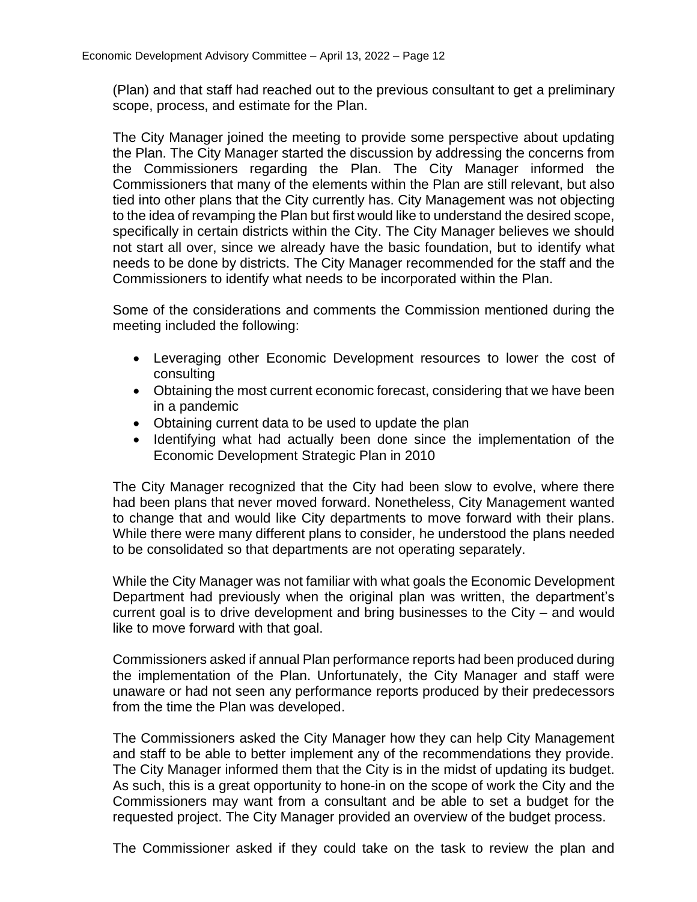(Plan) and that staff had reached out to the previous consultant to get a preliminary scope, process, and estimate for the Plan.

The City Manager joined the meeting to provide some perspective about updating the Plan. The City Manager started the discussion by addressing the concerns from the Commissioners regarding the Plan. The City Manager informed the Commissioners that many of the elements within the Plan are still relevant, but also tied into other plans that the City currently has. City Management was not objecting to the idea of revamping the Plan but first would like to understand the desired scope, specifically in certain districts within the City. The City Manager believes we should not start all over, since we already have the basic foundation, but to identify what needs to be done by districts. The City Manager recommended for the staff and the Commissioners to identify what needs to be incorporated within the Plan.

Some of the considerations and comments the Commission mentioned during the meeting included the following:

- Leveraging other Economic Development resources to lower the cost of consulting
- Obtaining the most current economic forecast, considering that we have been in a pandemic
- Obtaining current data to be used to update the plan
- Identifying what had actually been done since the implementation of the Economic Development Strategic Plan in 2010

The City Manager recognized that the City had been slow to evolve, where there had been plans that never moved forward. Nonetheless, City Management wanted to change that and would like City departments to move forward with their plans. While there were many different plans to consider, he understood the plans needed to be consolidated so that departments are not operating separately.

While the City Manager was not familiar with what goals the Economic Development Department had previously when the original plan was written, the department's current goal is to drive development and bring businesses to the City – and would like to move forward with that goal.

Commissioners asked if annual Plan performance reports had been produced during the implementation of the Plan. Unfortunately, the City Manager and staff were unaware or had not seen any performance reports produced by their predecessors from the time the Plan was developed.

The Commissioners asked the City Manager how they can help City Management and staff to be able to better implement any of the recommendations they provide. The City Manager informed them that the City is in the midst of updating its budget. As such, this is a great opportunity to hone-in on the scope of work the City and the Commissioners may want from a consultant and be able to set a budget for the requested project. The City Manager provided an overview of the budget process.

The Commissioner asked if they could take on the task to review the plan and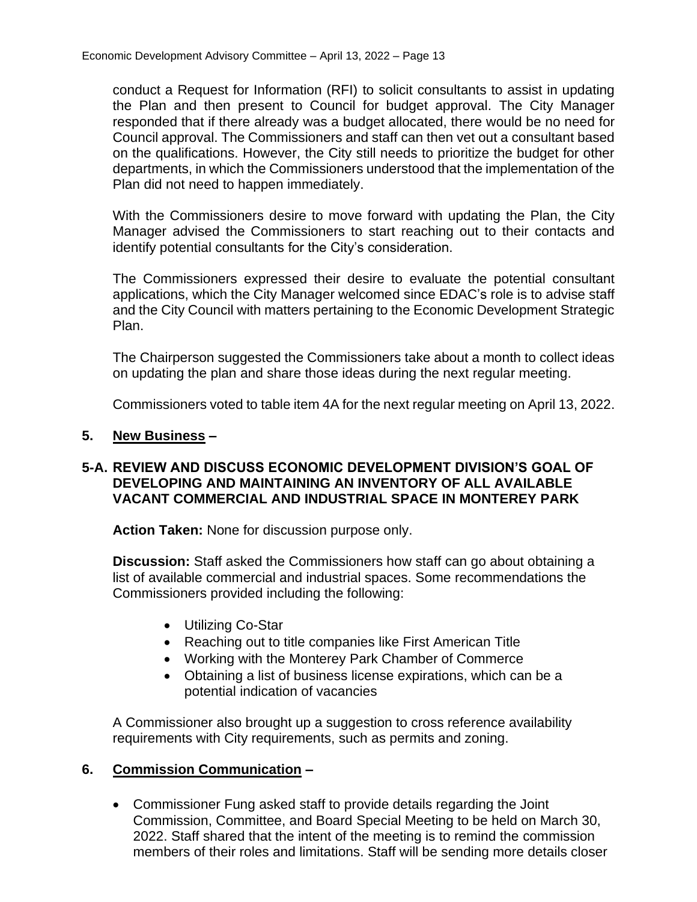conduct a Request for Information (RFI) to solicit consultants to assist in updating the Plan and then present to Council for budget approval. The City Manager responded that if there already was a budget allocated, there would be no need for Council approval. The Commissioners and staff can then vet out a consultant based on the qualifications. However, the City still needs to prioritize the budget for other departments, in which the Commissioners understood that the implementation of the Plan did not need to happen immediately.

With the Commissioners desire to move forward with updating the Plan, the City Manager advised the Commissioners to start reaching out to their contacts and identify potential consultants for the City's consideration.

The Commissioners expressed their desire to evaluate the potential consultant applications, which the City Manager welcomed since EDAC's role is to advise staff and the City Council with matters pertaining to the Economic Development Strategic Plan.

The Chairperson suggested the Commissioners take about a month to collect ideas on updating the plan and share those ideas during the next regular meeting.

Commissioners voted to table item 4A for the next regular meeting on April 13, 2022.

#### **5. New Business –**

#### **5-A. REVIEW AND DISCUSS ECONOMIC DEVELOPMENT DIVISION'S GOAL OF DEVELOPING AND MAINTAINING AN INVENTORY OF ALL AVAILABLE VACANT COMMERCIAL AND INDUSTRIAL SPACE IN MONTEREY PARK**

**Action Taken:** None for discussion purpose only.

**Discussion:** Staff asked the Commissioners how staff can go about obtaining a list of available commercial and industrial spaces. Some recommendations the Commissioners provided including the following:

- Utilizing Co-Star
- Reaching out to title companies like First American Title
- Working with the Monterey Park Chamber of Commerce
- Obtaining a list of business license expirations, which can be a potential indication of vacancies

A Commissioner also brought up a suggestion to cross reference availability requirements with City requirements, such as permits and zoning.

#### **6. Commission Communication –**

• Commissioner Fung asked staff to provide details regarding the Joint Commission, Committee, and Board Special Meeting to be held on March 30, 2022. Staff shared that the intent of the meeting is to remind the commission members of their roles and limitations. Staff will be sending more details closer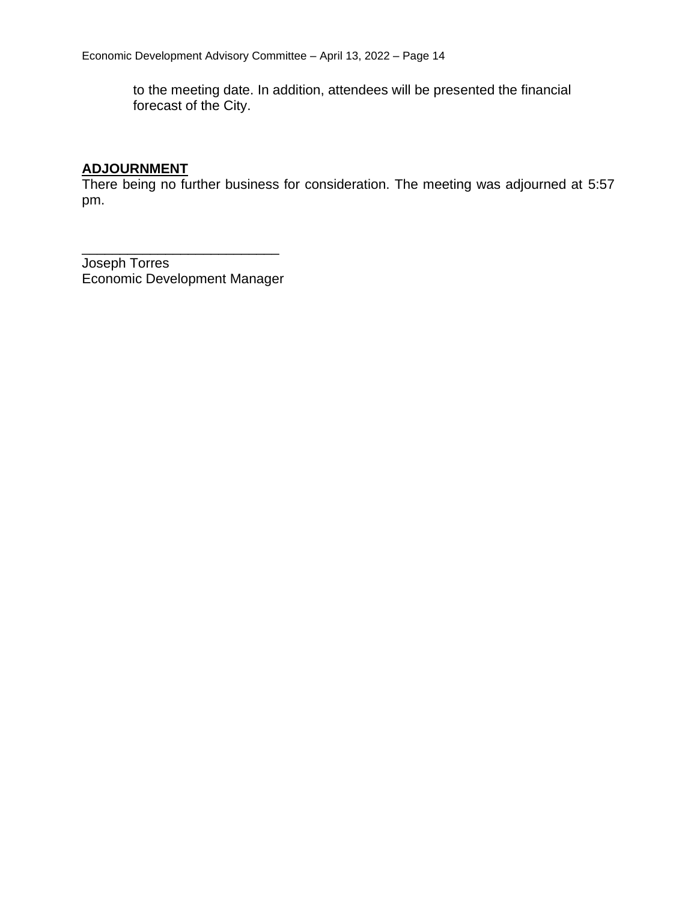to the meeting date. In addition, attendees will be presented the financial forecast of the City.

#### **ADJOURNMENT**

There being no further business for consideration. The meeting was adjourned at 5:57 pm.

Joseph Torres Economic Development Manager

\_\_\_\_\_\_\_\_\_\_\_\_\_\_\_\_\_\_\_\_\_\_\_\_\_\_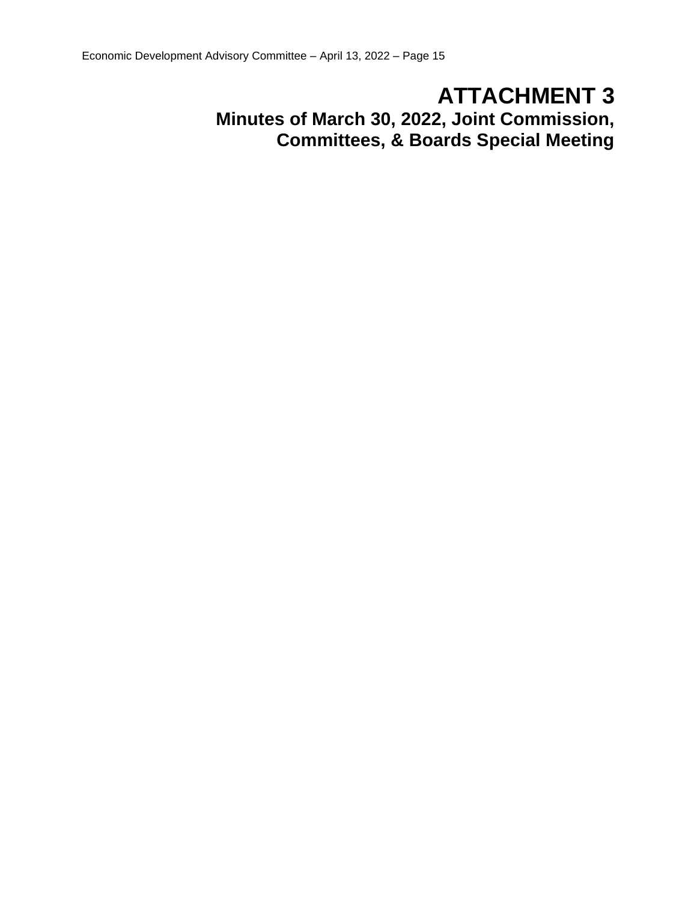# **ATTACHMENT 3**

**Minutes of March 30, 2022, Joint Commission, Committees, & Boards Special Meeting**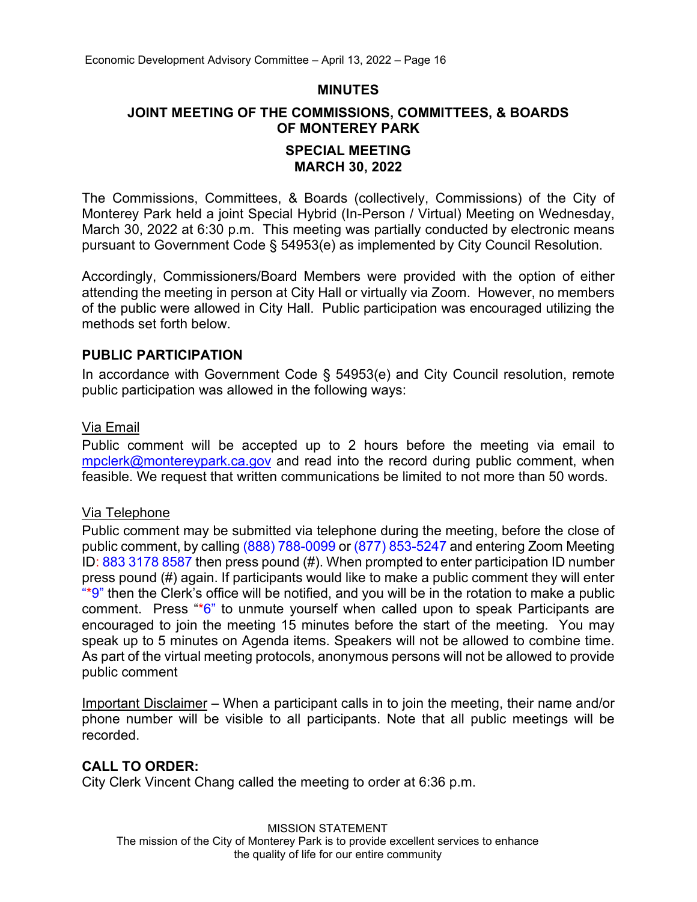#### **MINUTES**

#### **JOINT MEETING OF THE COMMISSIONS, COMMITTEES, & BOARDS OF MONTEREY PARK**

#### **SPECIAL MEETING MARCH 30, 2022**

The Commissions, Committees, & Boards (collectively, Commissions) of the City of Monterey Park held a joint Special Hybrid (In-Person / Virtual) Meeting on Wednesday, March 30, 2022 at 6:30 p.m. This meeting was partially conducted by electronic means pursuant to Government Code § 54953(e) as implemented by City Council Resolution.

Accordingly, Commissioners/Board Members were provided with the option of either attending the meeting in person at City Hall or virtually via Zoom. However, no members of the public were allowed in City Hall. Public participation was encouraged utilizing the methods set forth below.

#### **PUBLIC PARTICIPATION**

In accordance with Government Code § 54953(e) and City Council resolution, remote public participation was allowed in the following ways:

#### Via Email

Public comment will be accepted up to 2 hours before the meeting via email to [mpclerk@montereypark.ca.gov](mailto:mpclerk@montereypark.ca.gov) and read into the record during public comment, when feasible. We request that written communications be limited to not more than 50 words.

#### Via Telephone

Public comment may be submitted via telephone during the meeting, before the close of public comment, by calling (888) 788-0099 or (877) 853-5247 and entering Zoom Meeting ID: 883 3178 8587 then press pound (#). When prompted to enter participation ID number press pound (#) again. If participants would like to make a public comment they will enter  $**$ 9" then the Clerk's office will be notified, and you will be in the rotation to make a public comment. Press "\*6" to unmute yourself when called upon to speak Participants are encouraged to join the meeting 15 minutes before the start of the meeting. You may speak up to 5 minutes on Agenda items. Speakers will not be allowed to combine time. As part of the virtual meeting protocols, anonymous persons will not be allowed to provide public comment

Important Disclaimer – When a participant calls in to join the meeting, their name and/or phone number will be visible to all participants. Note that all public meetings will be recorded.

#### **CALL TO ORDER:**

City Clerk Vincent Chang called the meeting to order at 6:36 p.m.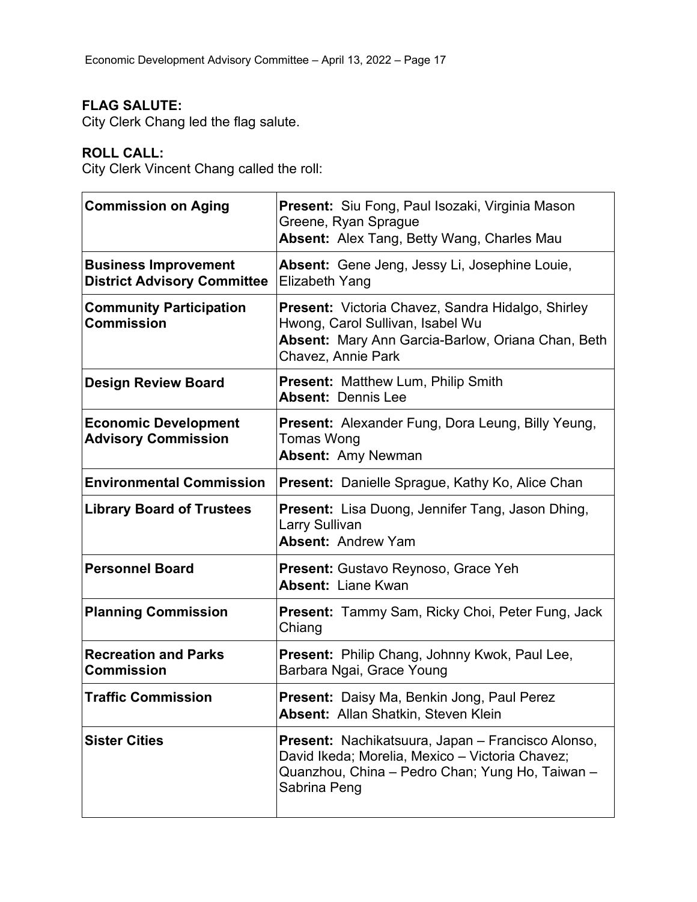## **FLAG SALUTE:**

City Clerk Chang led the flag salute.

## **ROLL CALL:**

City Clerk Vincent Chang called the roll:

| <b>Commission on Aging</b>                                        | <b>Present:</b> Siu Fong, Paul Isozaki, Virginia Mason<br>Greene, Ryan Sprague<br>Absent: Alex Tang, Betty Wang, Charles Mau                                            |  |
|-------------------------------------------------------------------|-------------------------------------------------------------------------------------------------------------------------------------------------------------------------|--|
| <b>Business Improvement</b><br><b>District Advisory Committee</b> | Absent: Gene Jeng, Jessy Li, Josephine Louie,<br><b>Elizabeth Yang</b>                                                                                                  |  |
| <b>Community Participation</b><br><b>Commission</b>               | Present: Victoria Chavez, Sandra Hidalgo, Shirley<br>Hwong, Carol Sullivan, Isabel Wu<br><b>Absent:</b> Mary Ann Garcia-Barlow, Oriana Chan, Beth<br>Chavez, Annie Park |  |
| <b>Design Review Board</b>                                        | <b>Present: Matthew Lum, Philip Smith</b><br><b>Absent: Dennis Lee</b>                                                                                                  |  |
| <b>Economic Development</b><br><b>Advisory Commission</b>         | <b>Present:</b> Alexander Fung, Dora Leung, Billy Yeung,<br><b>Tomas Wong</b><br><b>Absent: Amy Newman</b>                                                              |  |
| <b>Environmental Commission</b>                                   | Present: Danielle Sprague, Kathy Ko, Alice Chan                                                                                                                         |  |
| <b>Library Board of Trustees</b>                                  | <b>Present:</b> Lisa Duong, Jennifer Tang, Jason Dhing,<br><b>Larry Sullivan</b><br><b>Absent: Andrew Yam</b>                                                           |  |
| <b>Personnel Board</b>                                            | Present: Gustavo Reynoso, Grace Yeh<br><b>Absent: Liane Kwan</b>                                                                                                        |  |
| <b>Planning Commission</b>                                        | <b>Present:</b> Tammy Sam, Ricky Choi, Peter Fung, Jack<br>Chiang                                                                                                       |  |
| <b>Recreation and Parks</b><br><b>Commission</b>                  | Present: Philip Chang, Johnny Kwok, Paul Lee,<br>Barbara Ngai, Grace Young                                                                                              |  |
| <b>Traffic Commission</b>                                         | <b>Present:</b> Daisy Ma, Benkin Jong, Paul Perez<br><b>Absent: Allan Shatkin, Steven Klein</b>                                                                         |  |
| <b>Sister Cities</b>                                              | Present: Nachikatsuura, Japan - Francisco Alonso,<br>David Ikeda; Morelia, Mexico - Victoria Chavez;<br>Quanzhou, China - Pedro Chan; Yung Ho, Taiwan -<br>Sabrina Peng |  |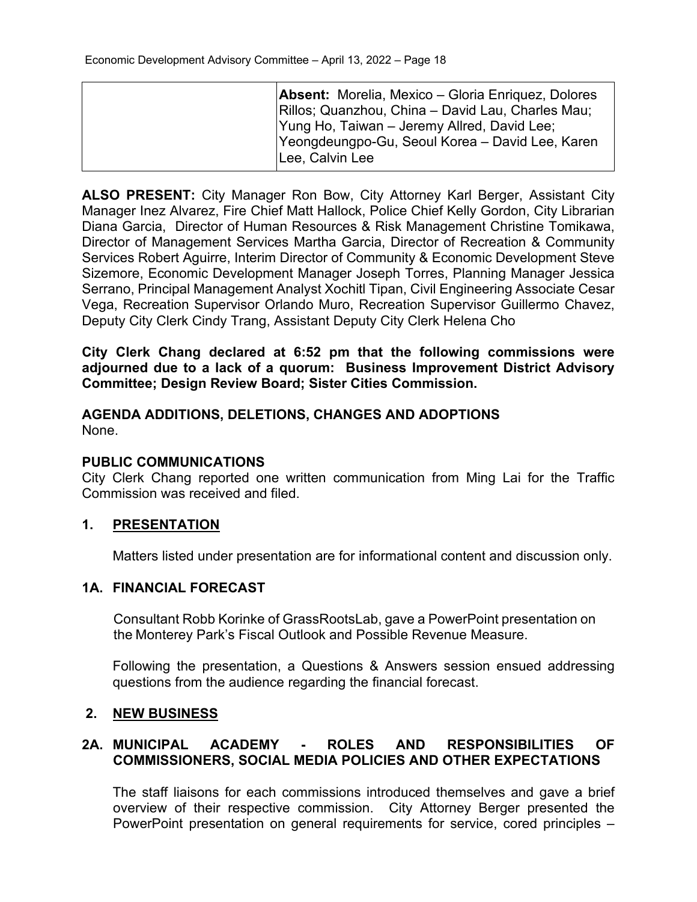| <b>Absent:</b> Morelia, Mexico – Gloria Enriquez, Dolores<br>Rillos; Quanzhou, China – David Lau, Charles Mau;     |
|--------------------------------------------------------------------------------------------------------------------|
| Yung Ho, Taiwan - Jeremy Allred, David Lee;<br>Yeongdeungpo-Gu, Seoul Korea – David Lee, Karen<br>ILee, Calvin Lee |

**ALSO PRESENT:** City Manager Ron Bow, City Attorney Karl Berger, Assistant City Manager Inez Alvarez, Fire Chief Matt Hallock, Police Chief Kelly Gordon, City Librarian Diana Garcia, Director of Human Resources & Risk Management Christine Tomikawa, Director of Management Services Martha Garcia, Director of Recreation & Community Services Robert Aguirre, Interim Director of Community & Economic Development Steve Sizemore, Economic Development Manager Joseph Torres, Planning Manager Jessica Serrano, Principal Management Analyst Xochitl Tipan, Civil Engineering Associate Cesar Vega, Recreation Supervisor Orlando Muro, Recreation Supervisor Guillermo Chavez, Deputy City Clerk Cindy Trang, Assistant Deputy City Clerk Helena Cho

**City Clerk Chang declared at 6:52 pm that the following commissions were adjourned due to a lack of a quorum: Business Improvement District Advisory Committee; Design Review Board; Sister Cities Commission.**

#### **AGENDA ADDITIONS, DELETIONS, CHANGES AND ADOPTIONS** None.

#### **PUBLIC COMMUNICATIONS**

City Clerk Chang reported one written communication from Ming Lai for the Traffic Commission was received and filed.

#### **1. PRESENTATION**

Matters listed under presentation are for informational content and discussion only.

#### **1A. FINANCIAL FORECAST**

Consultant Robb Korinke of GrassRootsLab, gave a PowerPoint presentation on the Monterey Park's Fiscal Outlook and Possible Revenue Measure.

Following the presentation, a Questions & Answers session ensued addressing questions from the audience regarding the financial forecast.

#### **2. NEW BUSINESS**

#### **2A. MUNICIPAL ACADEMY - ROLES AND RESPONSIBILITIES OF COMMISSIONERS, SOCIAL MEDIA POLICIES AND OTHER EXPECTATIONS**

The staff liaisons for each commissions introduced themselves and gave a brief overview of their respective commission. City Attorney Berger presented the PowerPoint presentation on general requirements for service, cored principles –